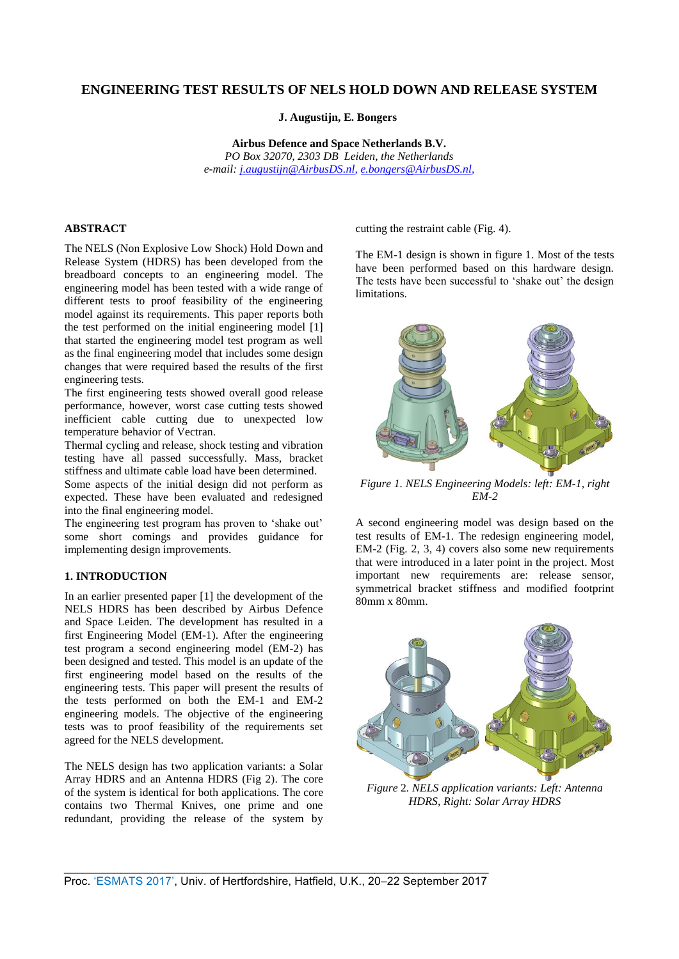# **ENGINEERING TEST RESULTS OF NELS HOLD DOWN AND RELEASE SYSTEM**

**J. Augustijn, E. Bongers** 

**Airbus Defence and Space Netherlands B.V.**  *PO Box 32070, 2303 DB Leiden, the Netherlands e-mail: [j.augustijn@AirbusDS.nl,](mailto:j.augustijn@AirbusDS.nl) [e.bongers@AirbusDS.nl,](mailto:e.bongers@AirbusDS.nl)* 

## **ABSTRACT**

The NELS (Non Explosive Low Shock) Hold Down and Release System (HDRS) has been developed from the breadboard concepts to an engineering model. The engineering model has been tested with a wide range of different tests to proof feasibility of the engineering model against its requirements. This paper reports both the test performed on the initial engineering model [1] that started the engineering model test program as well as the final engineering model that includes some design changes that were required based the results of the first engineering tests.

The first engineering tests showed overall good release performance, however, worst case cutting tests showed inefficient cable cutting due to unexpected low temperature behavior of Vectran.

Thermal cycling and release, shock testing and vibration testing have all passed successfully. Mass, bracket stiffness and ultimate cable load have been determined.

Some aspects of the initial design did not perform as expected. These have been evaluated and redesigned into the final engineering model.

The engineering test program has proven to 'shake out' some short comings and provides guidance for implementing design improvements.

### **1. INTRODUCTION**

In an earlier presented paper [1] the development of the NELS HDRS has been described by Airbus Defence and Space Leiden. The development has resulted in a first Engineering Model (EM-1). After the engineering test program a second engineering model (EM-2) has been designed and tested. This model is an update of the first engineering model based on the results of the engineering tests. This paper will present the results of the tests performed on both the EM-1 and EM-2 engineering models. The objective of the engineering tests was to proof feasibility of the requirements set agreed for the NELS development.

The NELS design has two application variants: a Solar Array HDRS and an Antenna HDRS (Fig 2). The core of the system is identical for both applications. The core contains two Thermal Knives, one prime and one redundant, providing the release of the system by cutting the restraint cable (Fig. 4).

The EM-1 design is shown in figure 1. Most of the tests have been performed based on this hardware design. The tests have been successful to 'shake out' the design limitations.



*Figure 1. NELS Engineering Models: left: EM-1, right EM-2* 

A second engineering model was design based on the test results of EM-1. The redesign engineering model, EM-2 (Fig. 2, 3, 4) covers also some new requirements that were introduced in a later point in the project. Most important new requirements are: release sensor, symmetrical bracket stiffness and modified footprint 80mm x 80mm.



*Figure* 2*. NELS application variants: Left: Antenna HDRS, Right: Solar Array HDRS*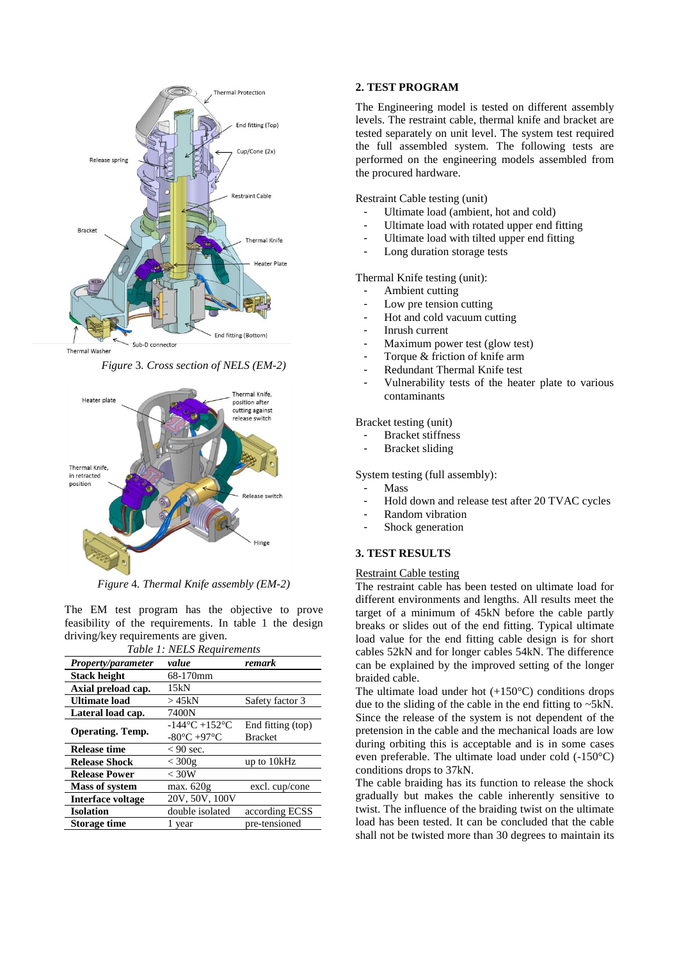

Thermal Washer

*Figure* 3*. Cross section of NELS (EM-2)*



*Figure* 4*. Thermal Knife assembly (EM-2)*

The EM test program has the objective to prove feasibility of the requirements. In table 1 the design driving/key requirements are given.

| Table 1: NELS Requirements |                                   |                   |  |  |
|----------------------------|-----------------------------------|-------------------|--|--|
| <b>Property/parameter</b>  | value                             | remark            |  |  |
| <b>Stack height</b>        | 68-170mm                          |                   |  |  |
| Axial preload cap.         | 15kN                              |                   |  |  |
| <b>Ultimate load</b>       | > 45kN                            | Safety factor 3   |  |  |
| Lateral load cap.          | 7400N                             |                   |  |  |
| <b>Operating. Temp.</b>    | $-144^{\circ}$ C $+152^{\circ}$ C | End fitting (top) |  |  |
|                            | $-80^{\circ}$ C $+97^{\circ}$ C   | <b>Bracket</b>    |  |  |
| <b>Release time</b>        | $< 90$ sec.                       |                   |  |  |
| <b>Release Shock</b>       | $<$ 300g                          | up to 10kHz       |  |  |
| <b>Release Power</b>       | $<$ 30W                           |                   |  |  |
| <b>Mass of system</b>      | max. 620g                         | excl. cup/cone    |  |  |
| <b>Interface voltage</b>   | 20V, 50V, 100V                    |                   |  |  |
| <b>Isolation</b>           | double isolated                   | according ECSS    |  |  |
| <b>Storage time</b>        | 1 year                            | pre-tensioned     |  |  |
|                            |                                   |                   |  |  |

### **2. TEST PROGRAM**

The Engineering model is tested on different assembly levels. The restraint cable, thermal knife and bracket are tested separately on unit level. The system test required the full assembled system. The following tests are performed on the engineering models assembled from the procured hardware.

Restraint Cable testing (unit)

- Ultimate load (ambient, hot and cold)
- Ultimate load with rotated upper end fitting
- Ultimate load with tilted upper end fitting
- Long duration storage tests

Thermal Knife testing (unit):

- Ambient cutting
- Low pre tension cutting
- Hot and cold vacuum cutting
- Inrush current
- Maximum power test (glow test)
- Torque & friction of knife arm
- Redundant Thermal Knife test
- Vulnerability tests of the heater plate to various contaminants

Bracket testing (unit)

- Bracket stiffness
- Bracket sliding

System testing (full assembly):

- **Mass**
- Hold down and release test after 20 TVAC cycles
- Random vibration
- Shock generation

# **3. TEST RESULTS**

#### Restraint Cable testing

The restraint cable has been tested on ultimate load for different environments and lengths. All results meet the target of a minimum of 45kN before the cable partly breaks or slides out of the end fitting. Typical ultimate load value for the end fitting cable design is for short cables 52kN and for longer cables 54kN. The difference can be explained by the improved setting of the longer braided cable.

The ultimate load under hot  $(+150^{\circ}C)$  conditions drops due to the sliding of the cable in the end fitting to ~5kN. Since the release of the system is not dependent of the pretension in the cable and the mechanical loads are low during orbiting this is acceptable and is in some cases even preferable. The ultimate load under cold (-150°C) conditions drops to 37kN.

The cable braiding has its function to release the shock gradually but makes the cable inherently sensitive to twist. The influence of the braiding twist on the ultimate load has been tested. It can be concluded that the cable shall not be twisted more than 30 degrees to maintain its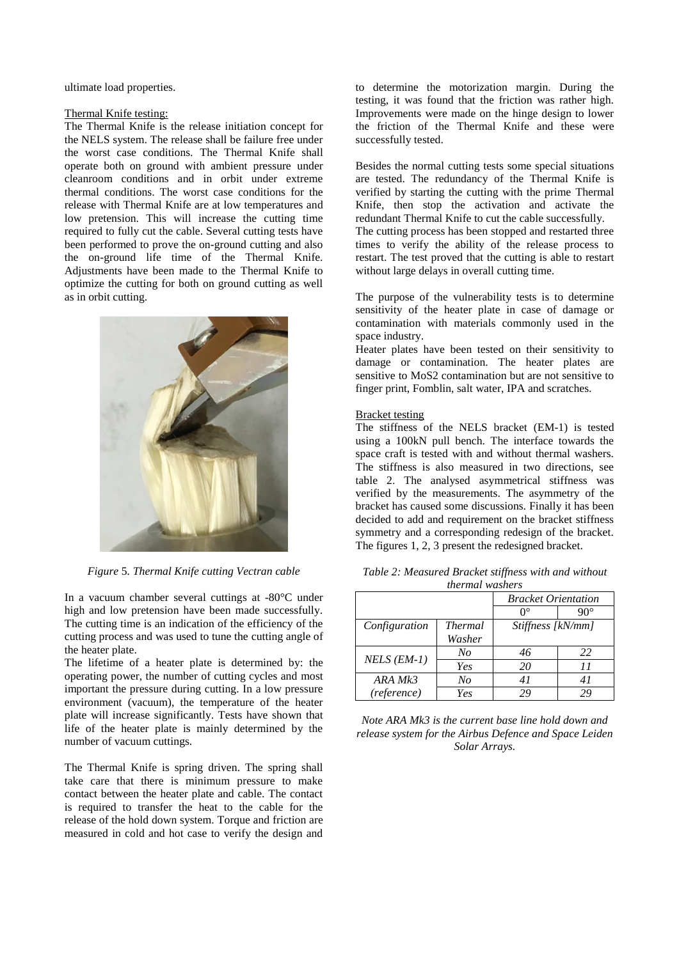ultimate load properties.

#### Thermal Knife testing:

The Thermal Knife is the release initiation concept for the NELS system. The release shall be failure free under the worst case conditions. The Thermal Knife shall operate both on ground with ambient pressure under cleanroom conditions and in orbit under extreme thermal conditions. The worst case conditions for the release with Thermal Knife are at low temperatures and low pretension. This will increase the cutting time required to fully cut the cable. Several cutting tests have been performed to prove the on-ground cutting and also the on-ground life time of the Thermal Knife. Adjustments have been made to the Thermal Knife to optimize the cutting for both on ground cutting as well as in orbit cutting.



*Figure* 5*. Thermal Knife cutting Vectran cable*

In a vacuum chamber several cuttings at -80°C under high and low pretension have been made successfully. The cutting time is an indication of the efficiency of the cutting process and was used to tune the cutting angle of the heater plate.

The lifetime of a heater plate is determined by: the operating power, the number of cutting cycles and most important the pressure during cutting. In a low pressure environment (vacuum), the temperature of the heater plate will increase significantly. Tests have shown that life of the heater plate is mainly determined by the number of vacuum cuttings.

The Thermal Knife is spring driven. The spring shall take care that there is minimum pressure to make contact between the heater plate and cable. The contact is required to transfer the heat to the cable for the release of the hold down system. Torque and friction are measured in cold and hot case to verify the design and to determine the motorization margin. During the testing, it was found that the friction was rather high. Improvements were made on the hinge design to lower the friction of the Thermal Knife and these were successfully tested.

Besides the normal cutting tests some special situations are tested. The redundancy of the Thermal Knife is verified by starting the cutting with the prime Thermal Knife, then stop the activation and activate the redundant Thermal Knife to cut the cable successfully.

The cutting process has been stopped and restarted three times to verify the ability of the release process to restart. The test proved that the cutting is able to restart without large delays in overall cutting time.

The purpose of the vulnerability tests is to determine sensitivity of the heater plate in case of damage or contamination with materials commonly used in the space industry.

Heater plates have been tested on their sensitivity to damage or contamination. The heater plates are sensitive to MoS2 contamination but are not sensitive to finger print, Fomblin, salt water, IPA and scratches.

#### Bracket testing

The stiffness of the NELS bracket (EM-1) is tested using a 100kN pull bench. The interface towards the space craft is tested with and without thermal washers. The stiffness is also measured in two directions, see table 2. The analysed asymmetrical stiffness was verified by the measurements. The asymmetry of the bracket has caused some discussions. Finally it has been decided to add and requirement on the bracket stiffness symmetry and a corresponding redesign of the bracket. The figures 1, 2, 3 present the redesigned bracket.

| <i>ultrium washers</i> |                |                            |     |  |
|------------------------|----------------|----------------------------|-----|--|
|                        |                | <b>Bracket Orientation</b> |     |  |
|                        |                | ∩°                         | 90° |  |
| Configuration          | <b>Thermal</b> | Stiffness [kN/mm]          |     |  |
|                        | Washer         |                            |     |  |
| $NELS$ ( $EM-1$ )      | No             | 46                         | 22  |  |
|                        | Yes            | 20                         | 11  |  |
| ARA Mk3                | No             | 41                         | 41  |  |
| (reference)            | Yes            | 29                         | 29  |  |

*Table 2: Measured Bracket stiffness with and without thermal washers*

*Note ARA Mk3 is the current base line hold down and release system for the Airbus Defence and Space Leiden Solar Arrays.*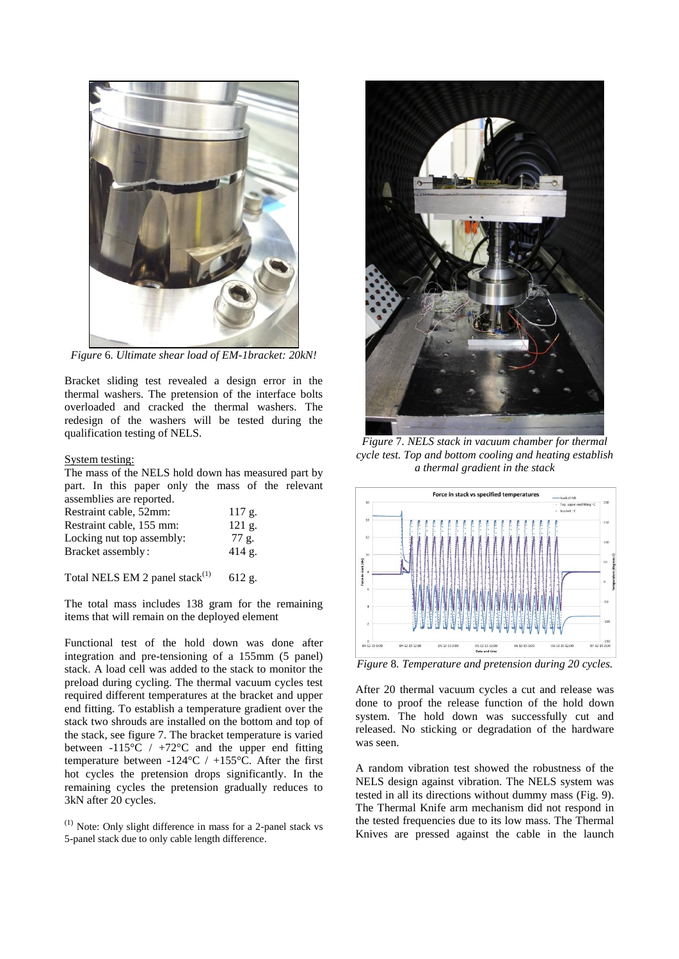

*Figure* 6*. Ultimate shear load of EM-1bracket: 20kN!*

Bracket sliding test revealed a design error in the thermal washers. The pretension of the interface bolts overloaded and cracked the thermal washers. The redesign of the washers will be tested during the qualification testing of NELS.

#### System testing:

The mass of the NELS hold down has measured part by part. In this paper only the mass of the relevant assemblies are reported.

| Restraint cable, 52mm:    | 117 g.   |
|---------------------------|----------|
| Restraint cable, 155 mm:  | $121$ g. |
| Locking nut top assembly: | 77 g.    |
| Bracket assembly:         | 414 g.   |
|                           |          |

Total NELS EM 2 panel stack $(1)$  612 g.

The total mass includes 138 gram for the remaining items that will remain on the deployed element

Functional test of the hold down was done after integration and pre-tensioning of a 155mm (5 panel) stack. A load cell was added to the stack to monitor the preload during cycling. The thermal vacuum cycles test required different temperatures at the bracket and upper end fitting. To establish a temperature gradient over the stack two shrouds are installed on the bottom and top of the stack, see figure 7. The bracket temperature is varied between -115 $\mathrm{^{\circ}C}$  / +72 $\mathrm{^{\circ}C}$  and the upper end fitting temperature between -124 $\degree$ C / +155 $\degree$ C. After the first hot cycles the pretension drops significantly. In the remaining cycles the pretension gradually reduces to 3kN after 20 cycles.



*Figure* 7*. NELS stack in vacuum chamber for thermal cycle test. Top and bottom cooling and heating establish a thermal gradient in the stack*



*Figure* 8*. Temperature and pretension during 20 cycles.*

After 20 thermal vacuum cycles a cut and release was done to proof the release function of the hold down system. The hold down was successfully cut and released. No sticking or degradation of the hardware was seen.

A random vibration test showed the robustness of the NELS design against vibration. The NELS system was tested in all its directions without dummy mass (Fig. 9). The Thermal Knife arm mechanism did not respond in the tested frequencies due to its low mass. The Thermal Knives are pressed against the cable in the launch

 $(1)$  Note: Only slight difference in mass for a 2-panel stack vs 5-panel stack due to only cable length difference.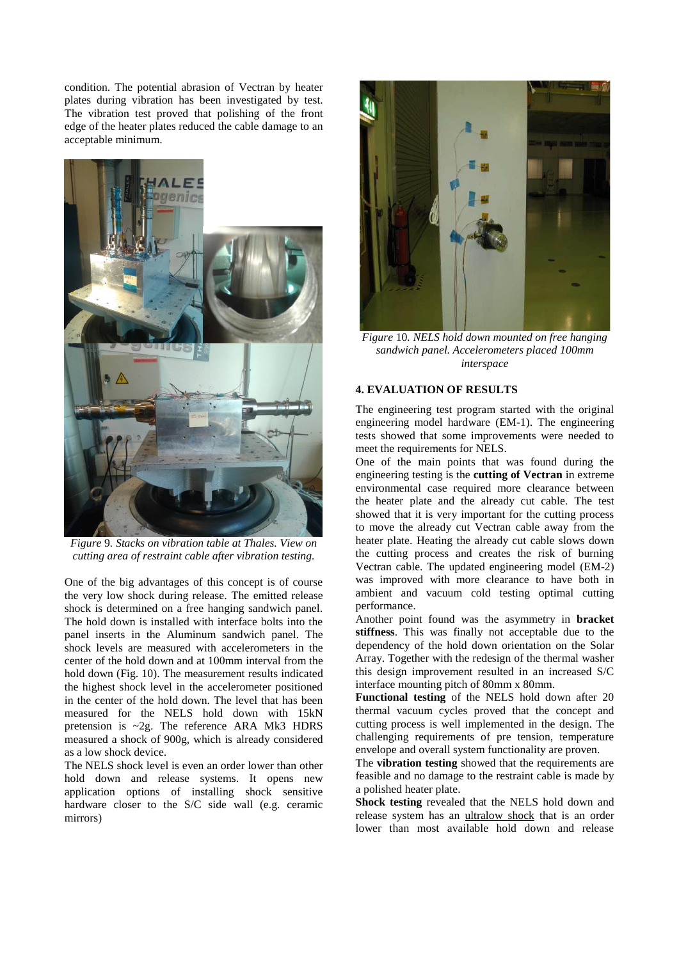condition. The potential abrasion of Vectran by heater plates during vibration has been investigated by test. The vibration test proved that polishing of the front edge of the heater plates reduced the cable damage to an acceptable minimum.



*Figure* 9*. Stacks on vibration table at Thales. View on cutting area of restraint cable after vibration testing.*

One of the big advantages of this concept is of course the very low shock during release. The emitted release shock is determined on a free hanging sandwich panel. The hold down is installed with interface bolts into the panel inserts in the Aluminum sandwich panel. The shock levels are measured with accelerometers in the center of the hold down and at 100mm interval from the hold down (Fig. 10). The measurement results indicated the highest shock level in the accelerometer positioned in the center of the hold down. The level that has been measured for the NELS hold down with 15kN pretension is ~2g. The reference ARA Mk3 HDRS measured a shock of 900g, which is already considered as a low shock device.

The NELS shock level is even an order lower than other hold down and release systems. It opens new application options of installing shock sensitive hardware closer to the S/C side wall (e.g. ceramic mirrors)



*Figure* 10*. NELS hold down mounted on free hanging sandwich panel. Accelerometers placed 100mm interspace*

#### **4. EVALUATION OF RESULTS**

The engineering test program started with the original engineering model hardware (EM-1). The engineering tests showed that some improvements were needed to meet the requirements for NELS.

One of the main points that was found during the engineering testing is the **cutting of Vectran** in extreme environmental case required more clearance between the heater plate and the already cut cable. The test showed that it is very important for the cutting process to move the already cut Vectran cable away from the heater plate. Heating the already cut cable slows down the cutting process and creates the risk of burning Vectran cable. The updated engineering model (EM-2) was improved with more clearance to have both in ambient and vacuum cold testing optimal cutting performance.

Another point found was the asymmetry in **bracket stiffness**. This was finally not acceptable due to the dependency of the hold down orientation on the Solar Array. Together with the redesign of the thermal washer this design improvement resulted in an increased S/C interface mounting pitch of 80mm x 80mm.

**Functional testing** of the NELS hold down after 20 thermal vacuum cycles proved that the concept and cutting process is well implemented in the design. The challenging requirements of pre tension, temperature envelope and overall system functionality are proven.

The **vibration testing** showed that the requirements are feasible and no damage to the restraint cable is made by a polished heater plate.

**Shock testing** revealed that the NELS hold down and release system has an ultralow shock that is an order lower than most available hold down and release